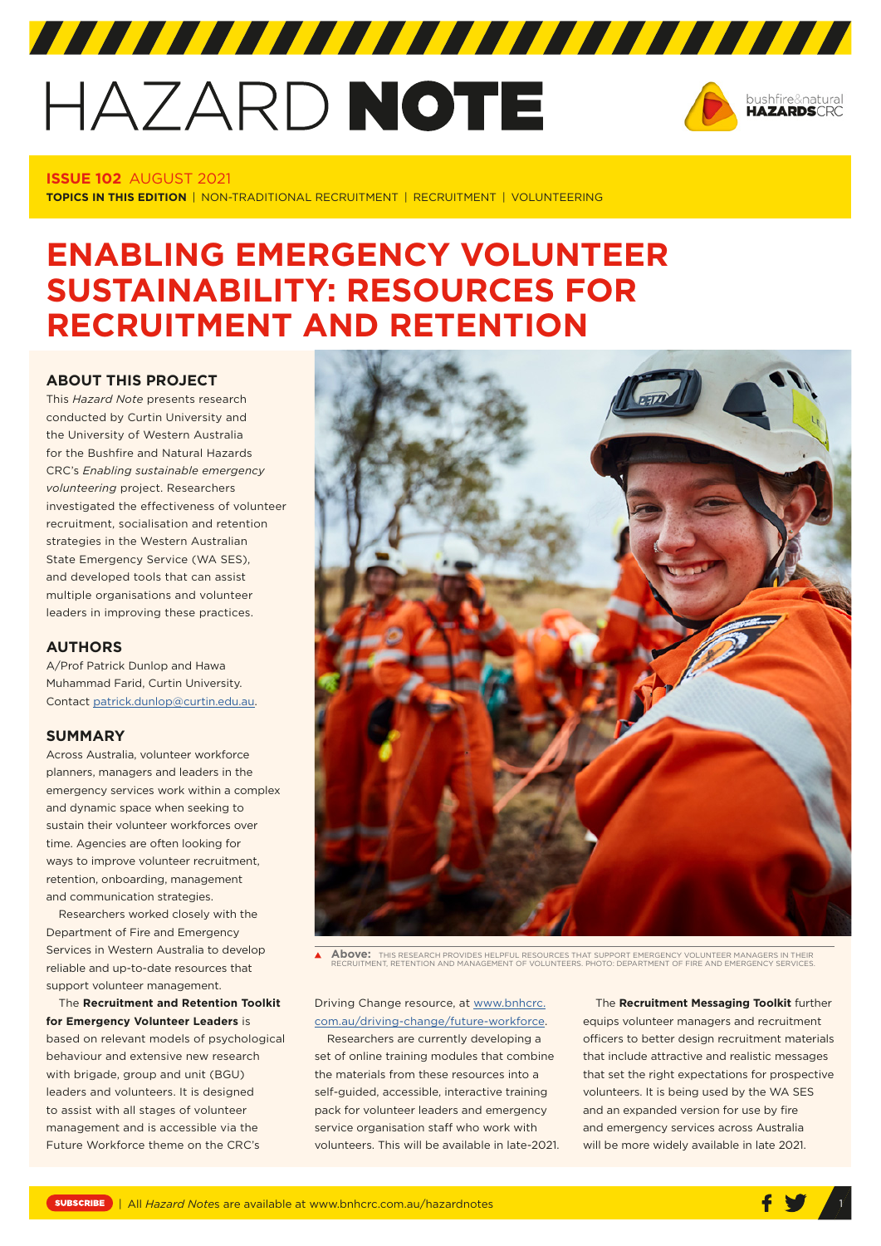# HAZARD NOTE



# **ISSUE 102** AUGUST 2021

**TOPICS IN THIS EDITION** | NON-TRADITIONAL RECRUITMENT | RECRUITMENT | VOLUNTEERING

# **ENABLING EMERGENCY VOLUNTEER SUSTAINABILITY: RESOURCES FOR RECRUITMENT AND RETENTION**

## **ABOUT THIS PROJECT**

This *Hazard Note* presents research conducted by Curtin University and the University of Western Australia for the Bushfire and Natural Hazards CRC's *Enabling sustainable emergency volunteering* project. Researchers investigated the effectiveness of volunteer recruitment, socialisation and retention strategies in the Western Australian State Emergency Service (WA SES), and developed tools that can assist multiple organisations and volunteer leaders in improving these practices.

#### **AUTHORS**

A/Prof Patrick Dunlop and Hawa Muhammad Farid, Curtin University. Contact [patrick.dunlop@curtin.edu.au](mailto:patrick.dunlop@curtin.edu.au).

## **SUMMARY**

Across Australia, volunteer workforce planners, managers and leaders in the emergency services work within a complex and dynamic space when seeking to sustain their volunteer workforces over time. Agencies are often looking for ways to improve volunteer recruitment, retention, onboarding, management and communication strategies.

Researchers worked closely with the Department of Fire and Emergency Services in Western Australia to develop reliable and up-to-date resources that support volunteer management.

The **Recruitment and Retention Toolkit for Emergency Volunteer Leaders** is based on relevant models of psychological behaviour and extensive new research with brigade, group and unit (BGU) leaders and volunteers. It is designed to assist with all stages of volunteer management and is accessible via the Future Workforce theme on the CRC's



**Above:** THIS RESEARCH PROVIDES HELPFUL RESOURCES THAT SUPPORT EMERGENCY VOLUNTEER MANAGERS IN THEIR RECRUITMENT, RETENTION AND MANAGEMENT OF VOLUNTEERS. PHOTO: DEPARTMENT OF FIRE AND EMERGENCY SERVICES.

Driving Change resource, at [www.bnhcrc.](https://www.bnhcrc.com.au/driving-change/future-workforce) [com.au/driving-change/future-workforce](https://www.bnhcrc.com.au/driving-change/future-workforce).

Researchers are currently developing a set of online training modules that combine the materials from these resources into a self-guided, accessible, interactive training pack for volunteer leaders and emergency service organisation staff who work with volunteers. This will be available in late-2021.

The **Recruitment Messaging Toolkit** further equips volunteer managers and recruitment officers to better design recruitment materials that include attractive and realistic messages that set the right expectations for prospective volunteers. It is being used by the WA SES and an expanded version for use by fire and emergency services across Australia will be more widely available in late 2021.

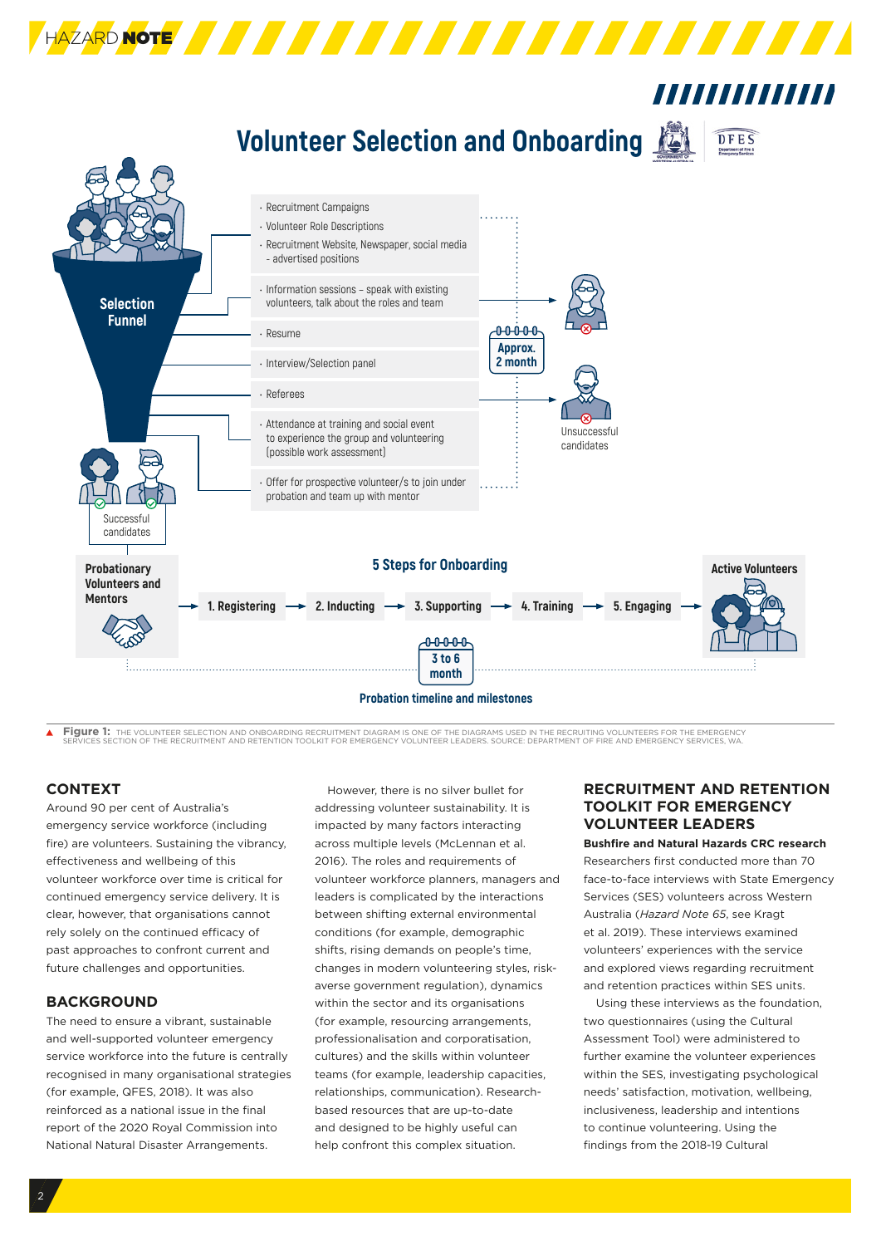

Figure 1: The VOLUNTEER SELECTION AND ONBOARDING RECRUITMENT DIAGRAM IS ONE OF THE DIAGRAMS USED IN THE RECRUITING VOLUNTEERS FOR THE EMERGENCY<br>SERVICES SECTION OF THE RECRUITMENT AND RETENTION TOOLKIT FOR EMERGENCY VOLUNT

# **CONTEXT**

Around 90 per cent of Australia's emergency service workforce (including fire) are volunteers. Sustaining the vibrancy, effectiveness and wellbeing of this volunteer workforce over time is critical for continued emergency service delivery. It is clear, however, that organisations cannot rely solely on the continued efficacy of past approaches to confront current and future challenges and opportunities.

# **BACKGROUND**

The need to ensure a vibrant, sustainable and well-supported volunteer emergency service workforce into the future is centrally recognised in many organisational strategies (for example, QFES, 2018). It was also reinforced as a national issue in the final report of the 2020 Royal Commission into National Natural Disaster Arrangements.

However, there is no silver bullet for addressing volunteer sustainability. It is impacted by many factors interacting across multiple levels (McLennan et al. 2016). The roles and requirements of volunteer workforce planners, managers and leaders is complicated by the interactions between shifting external environmental conditions (for example, demographic shifts, rising demands on people's time, changes in modern volunteering styles, riskaverse government regulation), dynamics within the sector and its organisations (for example, resourcing arrangements, professionalisation and corporatisation, cultures) and the skills within volunteer teams (for example, leadership capacities, relationships, communication). Researchbased resources that are up-to-date and designed to be highly useful can help confront this complex situation.

# **RECRUITMENT AND RETENTION TOOLKIT FOR EMERGENCY VOLUNTEER LEADERS**

**Bushfire and Natural Hazards CRC research** Researchers first conducted more than 70 face-to-face interviews with State Emergency Services (SES) volunteers across Western Australia (*Hazard Note 65*, see Kragt et al. 2019). These interviews examined volunteers' experiences with the service and explored views regarding recruitment and retention practices within SES units.

Using these interviews as the foundation, two questionnaires (using the Cultural Assessment Tool) were administered to further examine the volunteer experiences within the SES, investigating psychological needs' satisfaction, motivation, wellbeing, inclusiveness, leadership and intentions to continue volunteering. Using the findings from the 2018-19 Cultural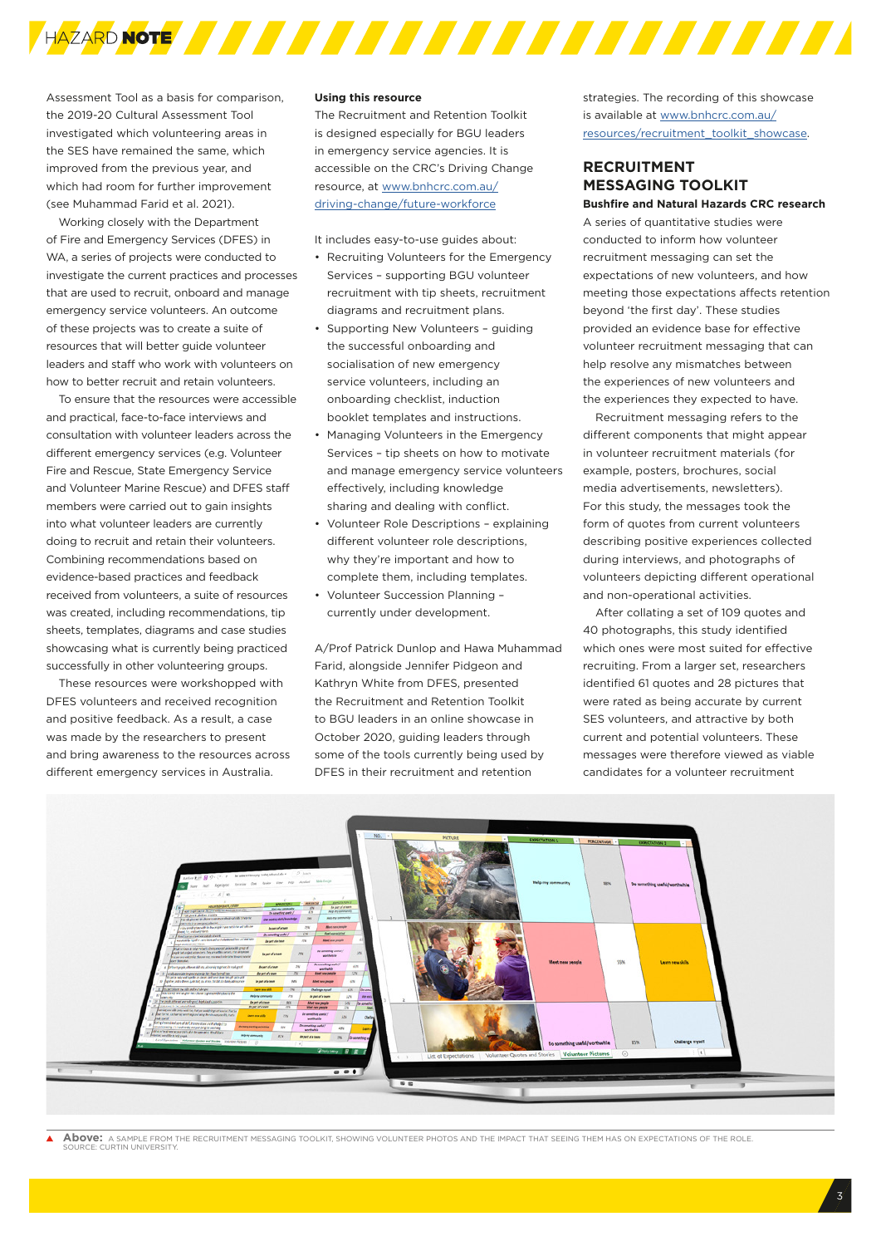

Assessment Tool as a basis for comparison, the 2019-20 Cultural Assessment Tool investigated which volunteering areas in the SES have remained the same, which improved from the previous year, and which had room for further improvement (see Muhammad Farid et al. 2021).

Working closely with the Department of Fire and Emergency Services (DFES) in WA, a series of projects were conducted to investigate the current practices and processes that are used to recruit, onboard and manage emergency service volunteers. An outcome of these projects was to create a suite of resources that will better guide volunteer leaders and staff who work with volunteers on how to better recruit and retain volunteers.

To ensure that the resources were accessible and practical, face-to-face interviews and consultation with volunteer leaders across the different emergency services (e.g. Volunteer Fire and Rescue, State Emergency Service and Volunteer Marine Rescue) and DFES staff members were carried out to gain insights into what volunteer leaders are currently doing to recruit and retain their volunteers. Combining recommendations based on evidence-based practices and feedback received from volunteers, a suite of resources was created, including recommendations, tip sheets, templates, diagrams and case studies showcasing what is currently being practiced successfully in other volunteering groups.

These resources were workshopped with DFES volunteers and received recognition and positive feedback. As a result, a case was made by the researchers to present and bring awareness to the resources across different emergency services in Australia.

#### **Using this resource**

The Recruitment and Retention Toolkit is designed especially for BGU leaders in emergency service agencies. It is accessible on the CRC's Driving Change resource, at www.bnhcrc.com.au/ driving-change/future-workforce

It includes easy-to-use guides about:

- Recruiting Volunteers for the Emergency Services – supporting BGU volunteer recruitment with tip sheets, recruitment diagrams and recruitment plans.
- Supporting New Volunteers guiding the successful onboarding and socialisation of new emergency service volunteers, including an onboarding checklist, induction booklet templates and instructions.
- Managing Volunteers in the Emergency Services – tip sheets on how to motivate and manage emergency service volunteers effectively, including knowledge sharing and dealing with conflict.
- Volunteer Role Descriptions explaining different volunteer role descriptions, why they're important and how to complete them, including templates.
- Volunteer Succession Planning currently under development.

A/Prof Patrick Dunlop and Hawa Muhammad Farid, alongside Jennifer Pidgeon and Kathryn White from DFES, presented the Recruitment and Retention Toolkit to BGU leaders in an online showcase in October 2020, guiding leaders through some of the tools currently being used by DFES in their recruitment and retention

strategies. The recording of this showcase is available at [www.bnhcrc.com.au/](http://www.bnhcrc.com.au/resources/recruitment_toolkit_showcase) [resources/recruitment\\_toolkit\\_showcase.](http://www.bnhcrc.com.au/resources/recruitment_toolkit_showcase)

#### **RECRUITMENT MESSAGING TOOLKIT Bushfire and Natural Hazards CRC research**

A series of quantitative studies were conducted to inform how volunteer recruitment messaging can set the expectations of new volunteers, and how meeting those expectations affects retention beyond 'the first day'. These studies provided an evidence base for effective volunteer recruitment messaging that can help resolve any mismatches between the experiences of new volunteers and the experiences they expected to have.

Recruitment messaging refers to the different components that might appear in volunteer recruitment materials (for example, posters, brochures, social media advertisements, newsletters). For this study, the messages took the form of quotes from current volunteers describing positive experiences collected during interviews, and photographs of volunteers depicting different operational and non-operational activities.

After collating a set of 109 quotes and 40 photographs, this study identified which ones were most suited for effective recruiting. From a larger set, researchers identified 61 quotes and 28 pictures that were rated as being accurate by current SES volunteers, and attractive by both current and potential volunteers. These messages were therefore viewed as viable candidates for a volunteer recruitment



**Above:** A SAMPLE FROM THE RECRUITMENT MESSAGING TOOLKIT, SHOWING VOLUNTEER PHOTOS AND THE IMPACT THAT SEEING THEM HAS ON EXPECTATIONS OF THE ROLE. SOURCE: CURTIN UNIVERSITY.